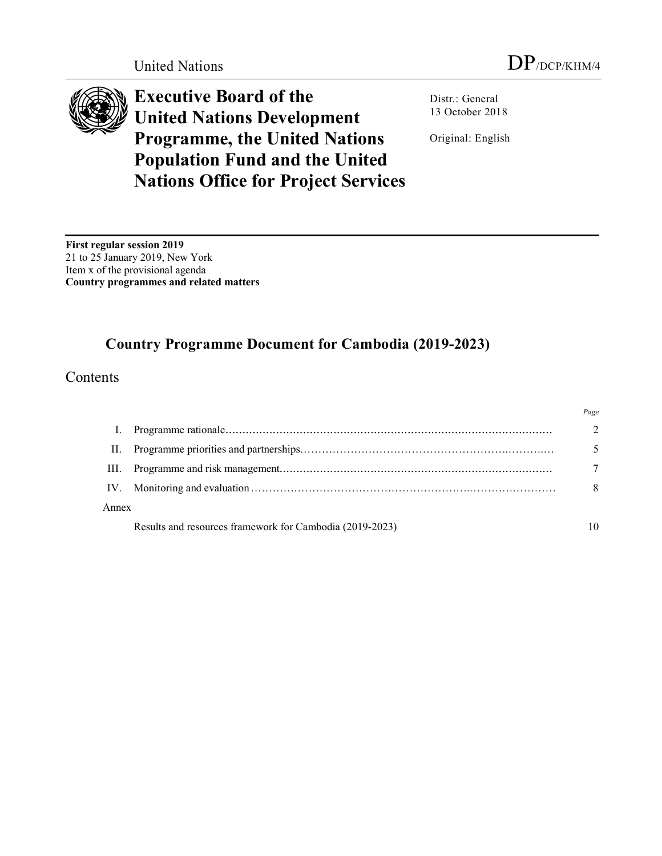

**Executive Board of the United Nations Development Programme, the United Nations Population Fund and the United Nations Office for Project Services**

Distr.: General 13 October 2018

Original: English

**First regular session 2019** 21 to 25 January 2019, New York Item x of the provisional agenda **Country programmes and related matters**

# **Country Programme Document for Cambodia (2019-2023)**

**Contents** 

|          |                                                          | Page          |
|----------|----------------------------------------------------------|---------------|
|          |                                                          | $\mathcal{D}$ |
| Н.       |                                                          |               |
| HL.      |                                                          |               |
| $IV_{-}$ |                                                          | 8             |
| Annex    |                                                          |               |
|          | Results and resources framework for Cambodia (2019-2023) |               |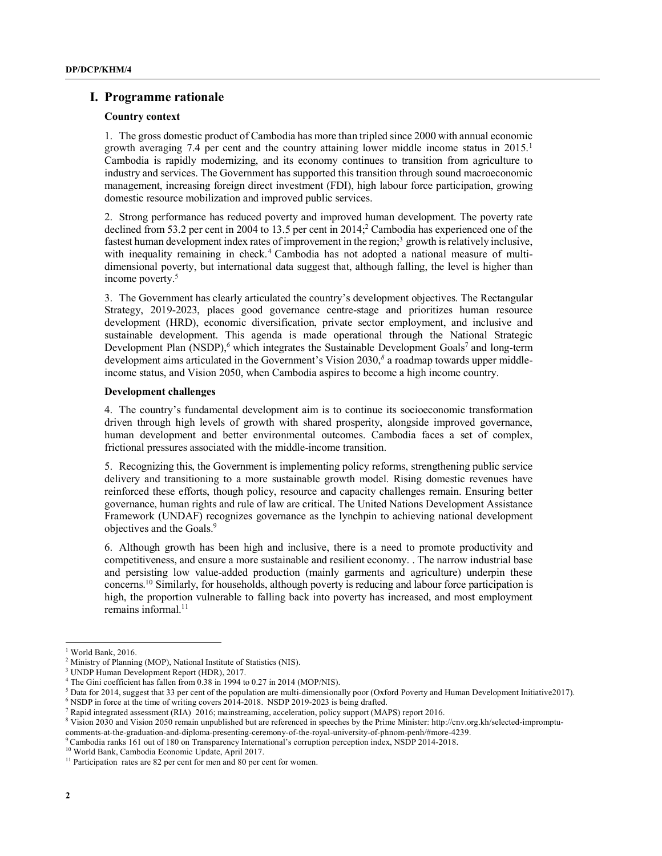# **I. Programme rationale**

#### **Country context**

1. The gross domestic product of Cambodia has more than tripled since 2000 with annual economic growth averaging 7.4 per cent and the country attaining lower middle income status in 2015. 1 Cambodia is rapidly modernizing, and its economy continues to transition from agriculture to industry and services. The Government has supported this transition through sound macroeconomic management, increasing foreign direct investment (FDI), high labour force participation, growing domestic resource mobilization and improved public services.

2. Strong performance has reduced poverty and improved human development. The poverty rate declined from 53.2 per cent in 2004 to 13.5 per cent in 2014; <sup>2</sup> Cambodia has experienced one of the fastest human development index rates of improvement in the region;<sup>3</sup> growth is relatively inclusive, with inequality remaining in check. <sup>4</sup> Cambodia has not adopted a national measure of multidimensional poverty, but international data suggest that, although falling, the level is higher than income poverty.5

3. The Government has clearly articulated the country's development objectives. The Rectangular Strategy, 2019-2023, places good governance centre-stage and prioritizes human resource development (HRD), economic diversification, private sector employment, and inclusive and sustainable development. This agenda is made operational through the National Strategic Development Plan (NSDP),<sup>6</sup> which integrates the Sustainable Development Goals<sup>7</sup> and long-term development aims articulated in the Government's Vision 2030, *<sup>8</sup>* a roadmap towards upper middleincome status, and Vision 2050, when Cambodia aspires to become a high income country.

# **Development challenges**

4. The country's fundamental development aim is to continue its socioeconomic transformation driven through high levels of growth with shared prosperity, alongside improved governance, human development and better environmental outcomes. Cambodia faces a set of complex, frictional pressures associated with the middle-income transition.

5. Recognizing this, the Government is implementing policy reforms, strengthening public service delivery and transitioning to a more sustainable growth model. Rising domestic revenues have reinforced these efforts, though policy, resource and capacity challenges remain. Ensuring better governance, human rights and rule of law are critical. The United Nations Development Assistance Framework (UNDAF) recognizes governance as the lynchpin to achieving national development objectives and the Goals. 9

6. Although growth has been high and inclusive, there is a need to promote productivity and competitiveness, and ensure a more sustainable and resilient economy. . The narrow industrial base and persisting low value-added production (mainly garments and agriculture) underpin these concerns. <sup>10</sup> Similarly, for households, although poverty is reducing and labour force participation is high, the proportion vulnerable to falling back into poverty has increased, and most employment remains informal.<sup>11</sup>

<sup>&</sup>lt;sup>1</sup> World Bank, 2016.

<sup>2</sup> Ministry of Planning (MOP), National Institute of Statistics (NIS).

<sup>&</sup>lt;sup>3</sup> UNDP Human Development Report (HDR), 2017.

<sup>4</sup> The Gini coefficient has fallen from 0.38 in 1994 to 0.27 in 2014 (MOP/NIS).

<sup>5</sup> Data for 2014, suggest that 33 per cent of the population are multi-dimensionally poor (Oxford Poverty and Human Development Initiative2017).

 $6$  NSDP in force at the time of writing covers  $2014$ -2018. NSDP 2019-2023 is being drafted.

<sup>7</sup> Rapid integrated assessment (RIA) 2016; mainstreaming, acceleration, policy support (MAPS) report 2016.

<sup>8</sup> Vision 2030 and Vision 2050 remain unpublished but are referenced in speeches by the Prime Minister: http://cnv.org.kh/selected-impromptucomments-at-the-graduation-and-diploma-presenting-ceremony-of-the-royal-university-of-phnom-penh/#more-4239.

<sup>9</sup>Cambodia ranks 161 out of 180 on Transparency International's corruption perception index, NSDP 2014-2018.

<sup>10</sup> World Bank, Cambodia Economic Update, April 2017.

<sup>&</sup>lt;sup>11</sup> Participation rates are 82 per cent for men and 80 per cent for women.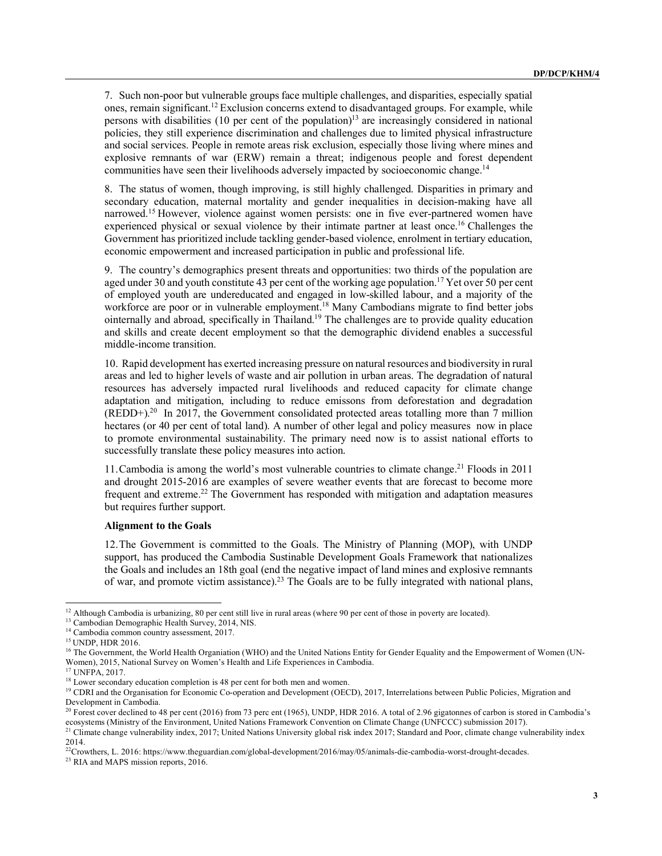7. Such non-poor but vulnerable groups face multiple challenges, and disparities, especially spatial ones, remain significant. <sup>12</sup> Exclusion concerns extend to disadvantaged groups. For example, while persons with disabilities (10 per cent of the population) <sup>13</sup> are increasingly considered in national policies, they still experience discrimination and challenges due to limited physical infrastructure and social services. People in remote areas risk exclusion, especially those living where mines and explosive remnants of war (ERW) remain a threat; indigenous people and forest dependent communities have seen their livelihoods adversely impacted by socioeconomic change.<sup>14</sup>

8. The status of women, though improving, is still highly challenged. Disparities in primary and secondary education, maternal mortality and gender inequalities in decision-making have all narrowed. <sup>15</sup> However, violence against women persists: one in five ever-partnered women have experienced physical or sexual violence by their intimate partner at least once.<sup>16</sup> Challenges the Government has prioritized include tackling gender-based violence, enrolment in tertiary education, economic empowerment and increased participation in public and professional life.

9. The country's demographics present threats and opportunities: two thirds of the population are aged under 30 and youth constitute 43 per cent of the working age population.<sup>17</sup> Yet over 50 per cent of employed youth are undereducated and engaged in low-skilled labour, and a majority of the workforce are poor or in vulnerable employment.<sup>18</sup> Many Cambodians migrate to find better jobs ointernally and abroad, specifically in Thailand. <sup>19</sup> The challenges are to provide quality education and skills and create decent employment so that the demographic dividend enables a successful middle-income transition.

10. Rapid development has exerted increasing pressure on natural resources and biodiversity in rural areas and led to higher levels of waste and air pollution in urban areas. The degradation of natural resources has adversely impacted rural livelihoods and reduced capacity for climate change adaptation and mitigation, including to reduce emissons from deforestation and degradation  $(REDD+)^{20}$  In 2017, the Government consolidated protected areas totalling more than 7 million hectares (or 40 per cent of total land). A number of other legal and policy measures now in place to promote environmental sustainability. The primary need now is to assist national efforts to successfully translate these policy measures into action.

11.Cambodia is among the world's most vulnerable countries to climate change. <sup>21</sup> Floods in 2011 and drought 2015-2016 are examples of severe weather events that are forecast to become more frequent and extreme. <sup>22</sup> The Government has responded with mitigation and adaptation measures but requires further support.

#### **Alignment to the Goals**

12.The Government is committed to the Goals. The Ministry of Planning (MOP), with UNDP support, has produced the Cambodia Sustinable Development Goals Framework that nationalizes the Goals and includes an 18th goal (end the negative impact of land mines and explosive remnants of war, and promote victim assistance).<sup>23</sup> The Goals are to be fully integrated with national plans,

<sup>23</sup> RIA and MAPS mission reports, 2016.

<sup>&</sup>lt;sup>12</sup> Although Cambodia is urbanizing, 80 per cent still live in rural areas (where 90 per cent of those in poverty are located). <sup>13</sup> Cambodian Demographic Health Survey, 2014, NIS.

<sup>&</sup>lt;sup>14</sup> Cambodia common country assessment, 2017.

<sup>15</sup> UNDP, HDR 2016.

<sup>&</sup>lt;sup>16</sup> The Government, the World Health Organiation (WHO) and the United Nations Entity for Gender Equality and the Empowerment of Women (UN-Women), 2015, National Survey on Women's Health and Life Experiences in Cambodia.

<sup>17</sup> UNFPA, 2017.

<sup>&</sup>lt;sup>18</sup> Lower secondary education completion is 48 per cent for both men and women.

<sup>&</sup>lt;sup>19</sup> CDRI and the Organisation for Economic Co-operation and Development (OECD), 2017, Interrelations between Public Policies, Migration and Development in Cambodia.

<sup>&</sup>lt;sup>20</sup> Forest cover declined to 48 per cent (2016) from 73 perc ent (1965), UNDP, HDR 2016. A total of 2.96 gigatonnes of carbon is stored in Cambodia's ecosystems (Ministry of the Environment, United Nations Framework Convention on Climate Change (UNFCCC) submission 2017).

<sup>&</sup>lt;sup>21</sup> Climate change vulnerability index, 2017; United Nations University global risk index 2017; Standard and Poor, climate change vulnerability index 2014.

<sup>22</sup>Crowthers, L. 2016: https://www.theguardian.com/global-development/2016/may/05/animals-die-cambodia-worst-drought-decades.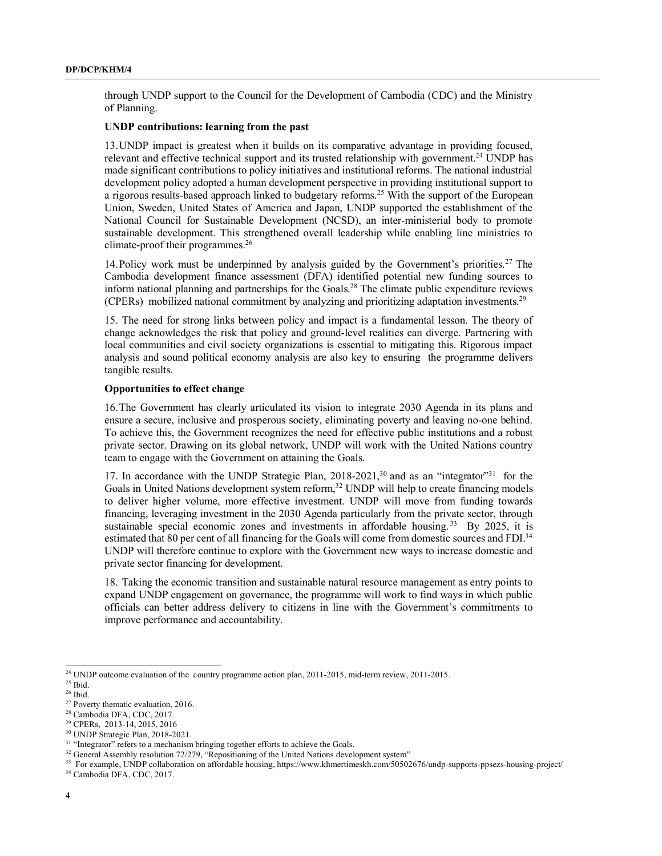through UNDP support to the Council for the Development of Cambodia (CDC) and the Ministry of Planning.

#### **UNDP contributions: learning from the past**

13.UNDP impact is greatest when it builds on its comparative advantage in providing focused, relevant and effective technical support and its trusted relationship with government.<sup>24</sup> UNDP has made significant contributions to policy initiatives and institutional reforms. The national industrial development policy adopted a human development perspective in providing institutional support to a rigorous results-based approach linked to budgetary reforms.25 With the support of the European Union, Sweden, United States of America and Japan, UNDP supported the establishment of the National Council for Sustainable Development (NCSD), an inter-ministerial body to promote sustainable development. This strengthened overall leadership while enabling line ministries to climate-proof their programmes. 26

14.Policy work must be underpinned by analysis guided by the Government's priorities. <sup>27</sup> The Cambodia development finance assessment (DFA) identified potential new funding sources to inform national planning and partnerships for the Goals. <sup>28</sup> The climate public expenditure reviews (CPERs) mobilized national commitment by analyzing and prioritizing adaptation investments.<sup>29</sup>

15. The need for strong links between policy and impact is a fundamental lesson. The theory of change acknowledges the risk that policy and ground-level realities can diverge. Partnering with local communities and civil society organizations is essential to mitigating this. Rigorous impact analysis and sound political economy analysis are also key to ensuring the programme delivers tangible results.

# **Opportunities to effect change**

16.The Government has clearly articulated its vision to integrate 2030 Agenda in its plans and ensure a secure, inclusive and prosperous society, eliminating poverty and leaving no-one behind. To achieve this, the Government recognizes the need for effective public institutions and a robust private sector. Drawing on its global network, UNDP will work with the United Nations country team to engage with the Government on attaining the Goals.

17. In accordance with the UNDP Strategic Plan,  $2018-2021$ ,  $30$  and as an "integrator" for the Goals in United Nations development system reform,<sup>32</sup> UNDP will help to create financing models to deliver higher volume, more effective investment. UNDP will move from funding towards financing, leveraging investment in the 2030 Agenda particularly from the private sector, through sustainable special economic zones and investments in affordable housing.<sup>33</sup> By 2025, it is estimated that 80 per cent of all financing for the Goals will come from domestic sources and FDI.<sup>34</sup> UNDP will therefore continue to explore with the Government new ways to increase domestic and private sector financing for development.

18. Taking the economic transition and sustainable natural resource management as entry points to expand UNDP engagement on governance, the programme will work to find ways in which public officials can better address delivery to citizens in line with the Government's commitments to improve performance and accountability.

<sup>&</sup>lt;sup>24</sup> UNDP outcome evaluation of the country programme action plan, 2011-2015, mid-term review, 2011-2015.

 $25$  Ibid.

 $^{26}$  Ibid.

<sup>&</sup>lt;sup>27</sup> Poverty thematic evaluation, 2016.

<sup>28</sup> Cambodia DFA, CDC, 2017.

<sup>29</sup> CPERs, 2013-14, 2015, 2016

<sup>30</sup> UNDP Strategic Plan, 2018-2021.

<sup>&</sup>lt;sup>31</sup> "Integrator" refers to a mechanism bringing together efforts to achieve the Goals.

<sup>&</sup>lt;sup>32</sup> General Assembly resolution 72/279, "Repositioning of the United Nations development system"

<sup>&</sup>lt;sup>33</sup> For example, UNDP collaboration on affordable housing, https://www.khmertimeskh.com/50502676/undp-supports-ppsezs-housing-project/

<sup>34</sup> Cambodia DFA, CDC, 2017.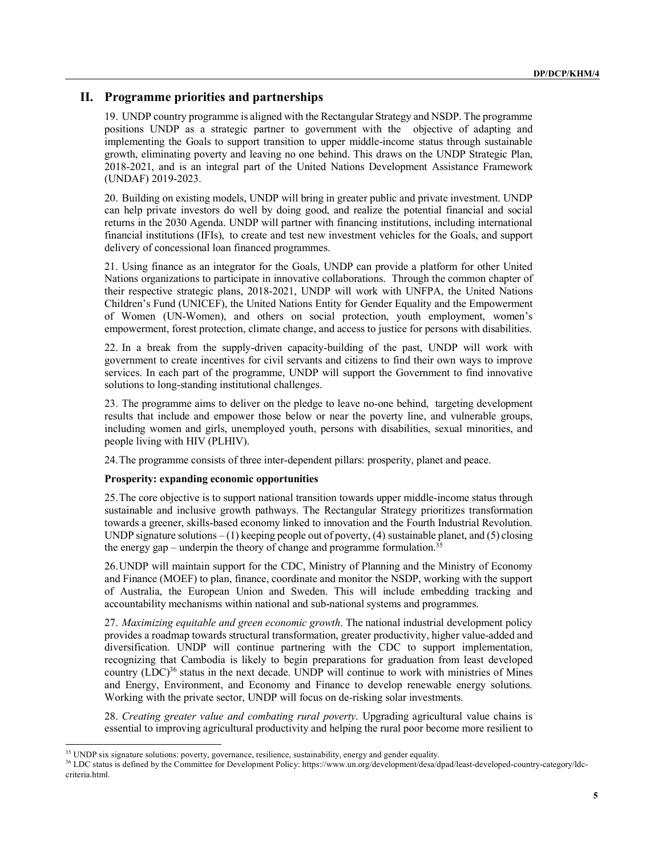# **II. Programme priorities and partnerships**

19. UNDP country programme is aligned with the Rectangular Strategy and NSDP. The programme positions UNDP as a strategic partner to government with the objective of adapting and implementing the Goals to support transition to upper middle-income status through sustainable growth, eliminating poverty and leaving no one behind. This draws on the UNDP Strategic Plan, 2018-2021, and is an integral part of the United Nations Development Assistance Framework (UNDAF) 2019-2023.

20. Building on existing models, UNDP will bring in greater public and private investment. UNDP can help private investors do well by doing good, and realize the potential financial and social returns in the 2030 Agenda. UNDP will partner with financing institutions, including international financial institutions (IFIs), to create and test new investment vehicles for the Goals, and support delivery of concessional loan financed programmes.

21. Using finance as an integrator for the Goals, UNDP can provide a platform for other United Nations organizations to participate in innovative collaborations. Through the common chapter of their respective strategic plans, 2018-2021, UNDP will work with UNFPA, the United Nations Children's Fund (UNICEF), the United Nations Entity for Gender Equality and the Empowerment of Women (UN-Women), and others on social protection, youth employment, women's empowerment, forest protection, climate change, and access to justice for persons with disabilities.

22. In a break from the supply-driven capacity-building of the past, UNDP will work with government to create incentives for civil servants and citizens to find their own ways to improve services. In each part of the programme, UNDP will support the Government to find innovative solutions to long-standing institutional challenges.

23. The programme aims to deliver on the pledge to leave no-one behind, targeting development results that include and empower those below or near the poverty line, and vulnerable groups, including women and girls, unemployed youth, persons with disabilities, sexual minorities, and people living with HIV (PLHIV).

24.The programme consists of three inter-dependent pillars: prosperity, planet and peace.

# **Prosperity: expanding economic opportunities**

25.The core objective is to support national transition towards upper middle-income status through sustainable and inclusive growth pathways. The Rectangular Strategy prioritizes transformation towards a greener, skills-based economy linked to innovation and the Fourth Industrial Revolution. UNDP signature solutions – (1) keeping people out of poverty, (4) sustainable planet, and (5) closing the energy gap – underpin the theory of change and programme formulation.<sup>35</sup>

26.UNDP will maintain support for the CDC, Ministry of Planning and the Ministry of Economy and Finance (MOEF) to plan, finance, coordinate and monitor the NSDP, working with the support of Australia, the European Union and Sweden. This will include embedding tracking and accountability mechanisms within national and sub-national systems and programmes.

27. *Maximizing equitable and green economic growth*. The national industrial development policy provides a roadmap towards structural transformation, greater productivity, higher value-added and diversification. UNDP will continue partnering with the CDC to support implementation, recognizing that Cambodia is likely to begin preparations for graduation from least developed country  $(LDC)^{36}$  status in the next decade. UNDP will continue to work with ministries of Mines and Energy, Environment, and Economy and Finance to develop renewable energy solutions. Working with the private sector, UNDP will focus on de-risking solar investments.

28. *Creating greater value and combating rural poverty*. Upgrading agricultural value chains is essential to improving agricultural productivity and helping the rural poor become more resilient to

<sup>&</sup>lt;sup>35</sup> UNDP six signature solutions: poverty, governance, resilience, sustainability, energy and gender equality.

<sup>&</sup>lt;sup>36</sup> LDC status is defined by the Committee for Development Policy: https://www.un.org/development/desa/dpad/least-developed-country-category/ldccriteria.html.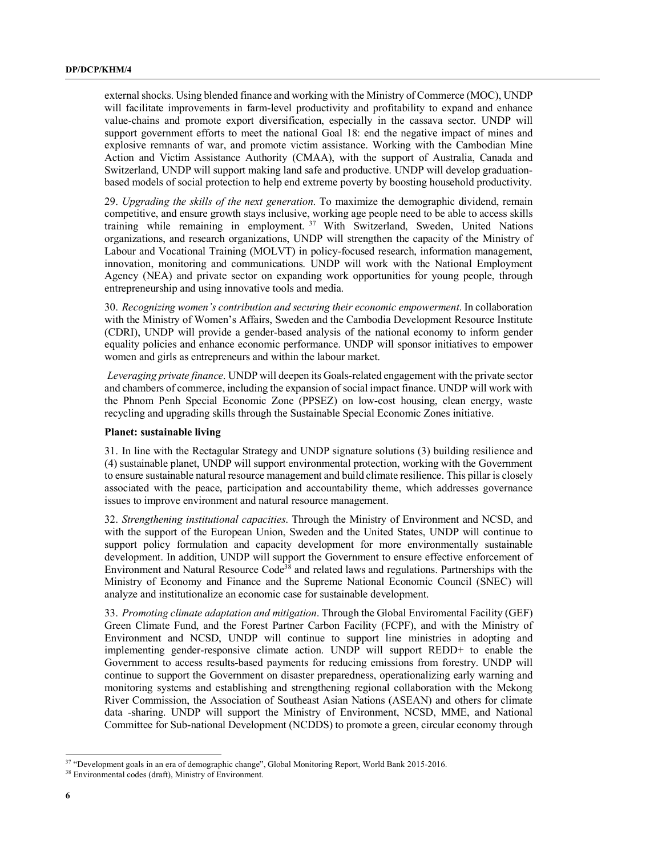external shocks. Using blended finance and working with the Ministry of Commerce (MOC), UNDP will facilitate improvements in farm-level productivity and profitability to expand and enhance value-chains and promote export diversification, especially in the cassava sector. UNDP will support government efforts to meet the national Goal 18: end the negative impact of mines and explosive remnants of war, and promote victim assistance. Working with the Cambodian Mine Action and Victim Assistance Authority (CMAA), with the support of Australia, Canada and Switzerland, UNDP will support making land safe and productive. UNDP will develop graduationbased models of social protection to help end extreme poverty by boosting household productivity.

29. *Upgrading the skills of the next generation*. To maximize the demographic dividend, remain competitive, and ensure growth stays inclusive, working age people need to be able to access skills training while remaining in employment. <sup>37</sup> With Switzerland, Sweden, United Nations organizations, and research organizations, UNDP will strengthen the capacity of the Ministry of Labour and Vocational Training (MOLVT) in policy-focused research, information management, innovation, monitoring and communications. UNDP will work with the National Employment Agency (NEA) and private sector on expanding work opportunities for young people, through entrepreneurship and using innovative tools and media.

30. *Recognizing women's contribution and securing their economic empowerment*. In collaboration with the Ministry of Women's Affairs, Sweden and the Cambodia Development Resource Institute (CDRI), UNDP will provide a gender-based analysis of the national economy to inform gender equality policies and enhance economic performance. UNDP will sponsor initiatives to empower women and girls as entrepreneurs and within the labour market.

*Leveraging private finance*. UNDP will deepen its Goals-related engagement with the private sector and chambers of commerce, including the expansion of social impact finance. UNDP will work with the Phnom Penh Special Economic Zone (PPSEZ) on low-cost housing, clean energy, waste recycling and upgrading skills through the Sustainable Special Economic Zones initiative.

#### **Planet: sustainable living**

31. In line with the Rectagular Strategy and UNDP signature solutions (3) building resilience and (4) sustainable planet, UNDP will support environmental protection, working with the Government to ensure sustainable natural resource management and build climate resilience. This pillar is closely associated with the peace, participation and accountability theme, which addresses governance issues to improve environment and natural resource management.

32. *Strengthening institutional capacities*. Through the Ministry of Environment and NCSD, and with the support of the European Union, Sweden and the United States, UNDP will continue to support policy formulation and capacity development for more environmentally sustainable development. In addition, UNDP will support the Government to ensure effective enforcement of Environment and Natural Resource Code<sup>38</sup> and related laws and regulations. Partnerships with the Ministry of Economy and Finance and the Supreme National Economic Council (SNEC) will analyze and institutionalize an economic case for sustainable development.

33. *Promoting climate adaptation and mitigation*. Through the Global Enviromental Facility (GEF) Green Climate Fund, and the Forest Partner Carbon Facility (FCPF), and with the Ministry of Environment and NCSD, UNDP will continue to support line ministries in adopting and implementing gender-responsive climate action. UNDP will support REDD+ to enable the Government to access results-based payments for reducing emissions from forestry. UNDP will continue to support the Government on disaster preparedness, operationalizing early warning and monitoring systems and establishing and strengthening regional collaboration with the Mekong River Commission, the Association of Southeast Asian Nations (ASEAN) and others for climate data -sharing. UNDP will support the Ministry of Environment, NCSD, MME, and National Committee for Sub-national Development (NCDDS) to promote a green, circular economy through

<sup>&</sup>lt;sup>37</sup> "Development goals in an era of demographic change", Global Monitoring Report, World Bank 2015-2016.

<sup>38</sup> Environmental codes (draft), Ministry of Environment.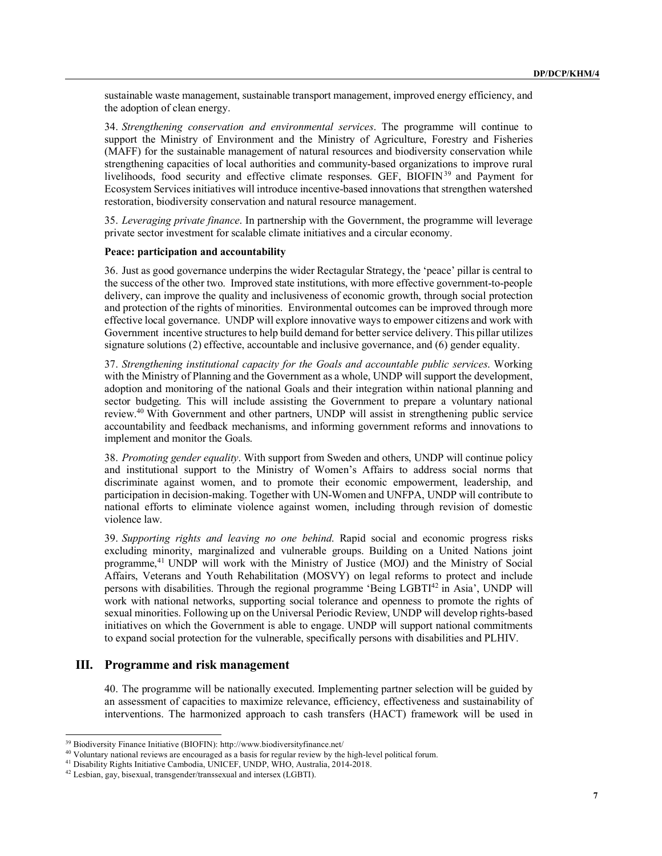sustainable waste management, sustainable transport management, improved energy efficiency, and the adoption of clean energy.

34. *Strengthening conservation and environmental services*. The programme will continue to support the Ministry of Environment and the Ministry of Agriculture, Forestry and Fisheries (MAFF) for the sustainable management of natural resources and biodiversity conservation while strengthening capacities of local authorities and community-based organizations to improve rural livelihoods, food security and effective climate responses. GEF, BIOFIN39 and Payment for Ecosystem Services initiatives will introduce incentive-based innovations that strengthen watershed restoration, biodiversity conservation and natural resource management.

35. *Leveraging private finance*. In partnership with the Government, the programme will leverage private sector investment for scalable climate initiatives and a circular economy.

#### **Peace: participation and accountability**

36. Just as good governance underpins the wider Rectagular Strategy, the 'peace' pillar is central to the success of the other two. Improved state institutions, with more effective government-to-people delivery, can improve the quality and inclusiveness of economic growth, through social protection and protection of the rights of minorities. Environmental outcomes can be improved through more effective local governance. UNDP will explore innovative ways to empower citizens and work with Government incentive structures to help build demand for better service delivery. This pillar utilizes signature solutions (2) effective, accountable and inclusive governance, and (6) gender equality.

37. *Strengthening institutional capacity for the Goals and accountable public services*. Working with the Ministry of Planning and the Government as a whole. UNDP will support the development, adoption and monitoring of the national Goals and their integration within national planning and sector budgeting. This will include assisting the Government to prepare a voluntary national review. <sup>40</sup> With Government and other partners, UNDP will assist in strengthening public service accountability and feedback mechanisms, and informing government reforms and innovations to implement and monitor the Goals.

38. *Promoting gender equality*. With support from Sweden and others, UNDP will continue policy and institutional support to the Ministry of Women's Affairs to address social norms that discriminate against women, and to promote their economic empowerment, leadership, and participation in decision-making. Together with UN-Women and UNFPA, UNDP will contribute to national efforts to eliminate violence against women, including through revision of domestic violence law.

39. *Supporting rights and leaving no one behind*. Rapid social and economic progress risks excluding minority, marginalized and vulnerable groups. Building on a United Nations joint programme,41 UNDP will work with the Ministry of Justice (MOJ) and the Ministry of Social Affairs, Veterans and Youth Rehabilitation (MOSVY) on legal reforms to protect and include persons with disabilities. Through the regional programme 'Being LGBTI42 in Asia', UNDP will work with national networks, supporting social tolerance and openness to promote the rights of sexual minorities. Following up on the Universal Periodic Review, UNDP will develop rights-based initiatives on which the Government is able to engage. UNDP will support national commitments to expand social protection for the vulnerable, specifically persons with disabilities and PLHIV.

#### **III. Programme and risk management**

40. The programme will be nationally executed. Implementing partner selection will be guided by an assessment of capacities to maximize relevance, efficiency, effectiveness and sustainability of interventions. The harmonized approach to cash transfers (HACT) framework will be used in

 <sup>39</sup> Biodiversity Finance Initiative (BIOFIN): http://www.biodiversityfinance.net/

<sup>&</sup>lt;sup>40</sup> Voluntary national reviews are encouraged as a basis for regular review by the high-level political forum.

<sup>41</sup> Disability Rights Initiative Cambodia, UNICEF, UNDP, WHO, Australia, 2014-2018.

<sup>42</sup> Lesbian, gay, bisexual, transgender/transsexual and intersex (LGBTI).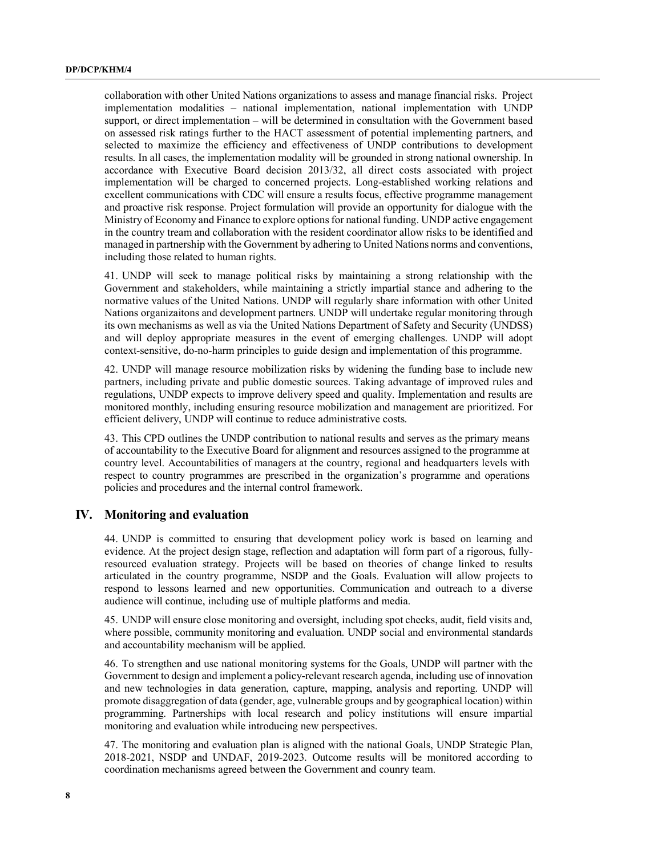collaboration with other United Nations organizations to assess and manage financial risks. Project implementation modalities – national implementation, national implementation with UNDP support, or direct implementation – will be determined in consultation with the Government based on assessed risk ratings further to the HACT assessment of potential implementing partners, and selected to maximize the efficiency and effectiveness of UNDP contributions to development results. In all cases, the implementation modality will be grounded in strong national ownership. In accordance with Executive Board decision 2013/32, all direct costs associated with project implementation will be charged to concerned projects. Long-established working relations and excellent communications with CDC will ensure a results focus, effective programme management and proactive risk response. Project formulation will provide an opportunity for dialogue with the Ministry of Economy and Finance to explore options for national funding. UNDP active engagement in the country tream and collaboration with the resident coordinator allow risks to be identified and managed in partnership with the Government by adhering to United Nations norms and conventions, including those related to human rights.

41. UNDP will seek to manage political risks by maintaining a strong relationship with the Government and stakeholders, while maintaining a strictly impartial stance and adhering to the normative values of the United Nations. UNDP will regularly share information with other United Nations organizaitons and development partners. UNDP will undertake regular monitoring through its own mechanisms as well as via the United Nations Department of Safety and Security (UNDSS) and will deploy appropriate measures in the event of emerging challenges. UNDP will adopt context-sensitive, do-no-harm principles to guide design and implementation of this programme.

42. UNDP will manage resource mobilization risks by widening the funding base to include new partners, including private and public domestic sources. Taking advantage of improved rules and regulations, UNDP expects to improve delivery speed and quality. Implementation and results are monitored monthly, including ensuring resource mobilization and management are prioritized. For efficient delivery, UNDP will continue to reduce administrative costs.

43. This CPD outlines the UNDP contribution to national results and serves as the primary means of accountability to the Executive Board for alignment and resources assigned to the programme at country level. Accountabilities of managers at the country, regional and headquarters levels with respect to country programmes are prescribed in the organization's programme and operations policies and procedures and the internal control framework.

# **IV. Monitoring and evaluation**

44. UNDP is committed to ensuring that development policy work is based on learning and evidence. At the project design stage, reflection and adaptation will form part of a rigorous, fullyresourced evaluation strategy. Projects will be based on theories of change linked to results articulated in the country programme, NSDP and the Goals. Evaluation will allow projects to respond to lessons learned and new opportunities. Communication and outreach to a diverse audience will continue, including use of multiple platforms and media.

45. UNDP will ensure close monitoring and oversight, including spot checks, audit, field visits and, where possible, community monitoring and evaluation. UNDP social and environmental standards and accountability mechanism will be applied.

46. To strengthen and use national monitoring systems for the Goals, UNDP will partner with the Government to design and implement a policy-relevant research agenda, including use of innovation and new technologies in data generation, capture, mapping, analysis and reporting. UNDP will promote disaggregation of data (gender, age, vulnerable groups and by geographical location) within programming. Partnerships with local research and policy institutions will ensure impartial monitoring and evaluation while introducing new perspectives.

47. The monitoring and evaluation plan is aligned with the national Goals, UNDP Strategic Plan, 2018-2021, NSDP and UNDAF, 2019-2023. Outcome results will be monitored according to coordination mechanisms agreed between the Government and counry team.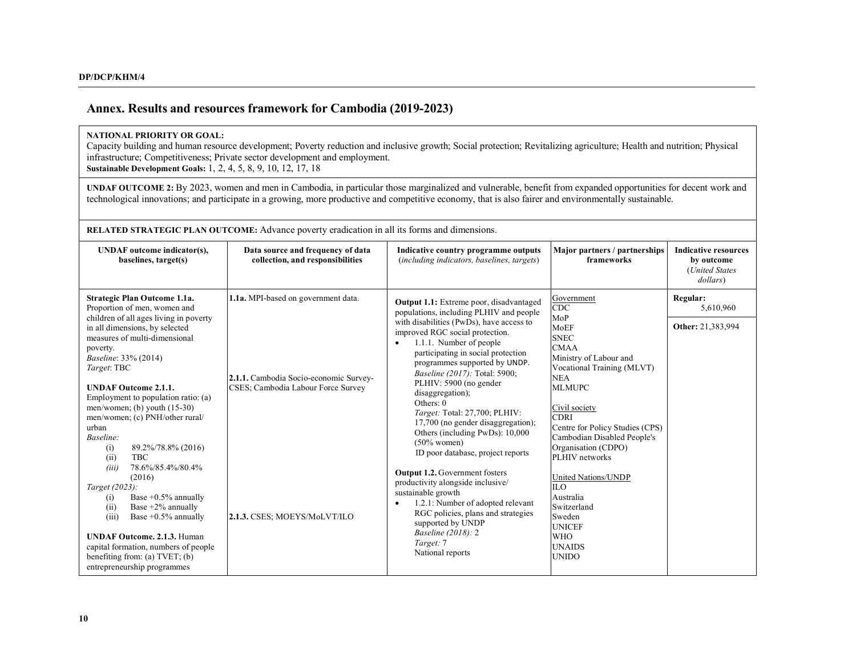# **Annex. Results and resources framework for Cambodia (2019-2023)**

#### **NATIONAL PRIORITY OR GOAL:**

Capacity building and human resource development; Poverty reduction and inclusive growth; Social protection; Revitalizing agriculture; Health and nutrition; Physical infrastructure; Competitiveness; Private sector development and employment.

**Sustainable Development Goals:** 1, 2, 4, 5, 8, 9, 10, 12, 17, 18

**UNDAF OUTCOME 2:** By 2023, women and men in Cambodia, in particular those marginalized and vulnerable, benefit from expanded opportunities for decent work and technological innovations; and participate in a growing, more productive and competitive economy, that is also fairer and environmentally sustainable.

**RELATED STRATEGIC PLAN OUTCOME:** Advance poverty eradication in all its forms and dimensions.

| <b>UNDAF</b> outcome indicator(s),<br>baselines, target(s)                                                                                                                                                                                                                                                                                                                                                                                                                                                                                                                                                                                                                                                                                                    | Data source and frequency of data<br>collection, and responsibilities                                                                               | Indicative country programme outputs<br>(including indicators, baselines, targets)                                                                                                                                                                                                                                                                                                                                                                                                                                                                                                                                                                                                                                                                                                                                 | Major partners / partnerships<br>frameworks                                                                                                                                                                                                                                                                                                                                                                                                        | <b>Indicative resources</b><br>by outcome<br>(United States)<br>dollars) |
|---------------------------------------------------------------------------------------------------------------------------------------------------------------------------------------------------------------------------------------------------------------------------------------------------------------------------------------------------------------------------------------------------------------------------------------------------------------------------------------------------------------------------------------------------------------------------------------------------------------------------------------------------------------------------------------------------------------------------------------------------------------|-----------------------------------------------------------------------------------------------------------------------------------------------------|--------------------------------------------------------------------------------------------------------------------------------------------------------------------------------------------------------------------------------------------------------------------------------------------------------------------------------------------------------------------------------------------------------------------------------------------------------------------------------------------------------------------------------------------------------------------------------------------------------------------------------------------------------------------------------------------------------------------------------------------------------------------------------------------------------------------|----------------------------------------------------------------------------------------------------------------------------------------------------------------------------------------------------------------------------------------------------------------------------------------------------------------------------------------------------------------------------------------------------------------------------------------------------|--------------------------------------------------------------------------|
| Strategic Plan Outcome 1.1a.<br>Proportion of men, women and<br>children of all ages living in poverty<br>in all dimensions, by selected<br>measures of multi-dimensional<br>poverty.<br>Baseline: 33% (2014)<br>Target: TBC<br><b>UNDAF Outcome 2.1.1.</b><br>Employment to population ratio: (a)<br>men/women; (b) youth $(15-30)$<br>men/women; (c) PNH/other rural/<br>urban<br>Baseline:<br>89.2%/78.8% (2016)<br>(i)<br>(ii)<br><b>TBC</b><br>78.6%/85.4%/80.4%<br>(iii)<br>(2016)<br>Target (2023):<br>Base $+0.5\%$ annually<br>(i)<br>(ii)<br>Base $+2\%$ annually<br>Base $+0.5\%$ annually<br>(iii)<br><b>UNDAF Outcome. 2.1.3. Human</b><br>capital formation, numbers of people<br>benefiting from: (a) TVET; (b)<br>entrepreneurship programmes | 1.1a. MPI-based on government data.<br>2.1.1. Cambodia Socio-economic Survey-<br>CSES; Cambodia Labour Force Survey<br>2.1.3. CSES; MOEYS/MoLVT/ILO | <b>Output 1.1:</b> Extreme poor, disadvantaged<br>populations, including PLHIV and people<br>with disabilities (PwDs), have access to<br>improved RGC social protection.<br>1.1.1. Number of people<br>participating in social protection<br>programmes supported by UNDP.<br><i>Baseline (2017):</i> Total: 5900;<br>PLHIV: 5900 (no gender<br>disaggregation);<br>Others: $0$<br><i>Target:</i> Total: 27,700; PLHIV:<br>17,700 (no gender disaggregation);<br>Others (including PwDs): 10,000<br>$(50\%$ women)<br>ID poor database, project reports<br><b>Output 1.2.</b> Government fosters<br>productivity alongside inclusive/<br>sustainable growth<br>1.2.1: Number of adopted relevant<br>RGC policies, plans and strategies<br>supported by UNDP<br>Baseline (2018): 2<br>Target: 7<br>National reports | Government<br><b>CDC</b><br>MoP<br>MoEF<br><b>SNEC</b><br><b>CMAA</b><br>Ministry of Labour and<br>Vocational Training (MLVT)<br><b>NEA</b><br><b>MLMUPC</b><br>Civil society<br><b>CDRI</b><br>Centre for Policy Studies (CPS)<br>Cambodian Disabled People's<br>Organisation (CDPO)<br>PLHIV networks<br>United Nations/UNDP<br><b>ILO</b><br>Australia<br>Switzerland<br>Sweden<br><b>UNICEF</b><br><b>WHO</b><br><b>UNAIDS</b><br><b>UNIDO</b> | Regular:<br>5,610,960<br>Other: 21,383,994                               |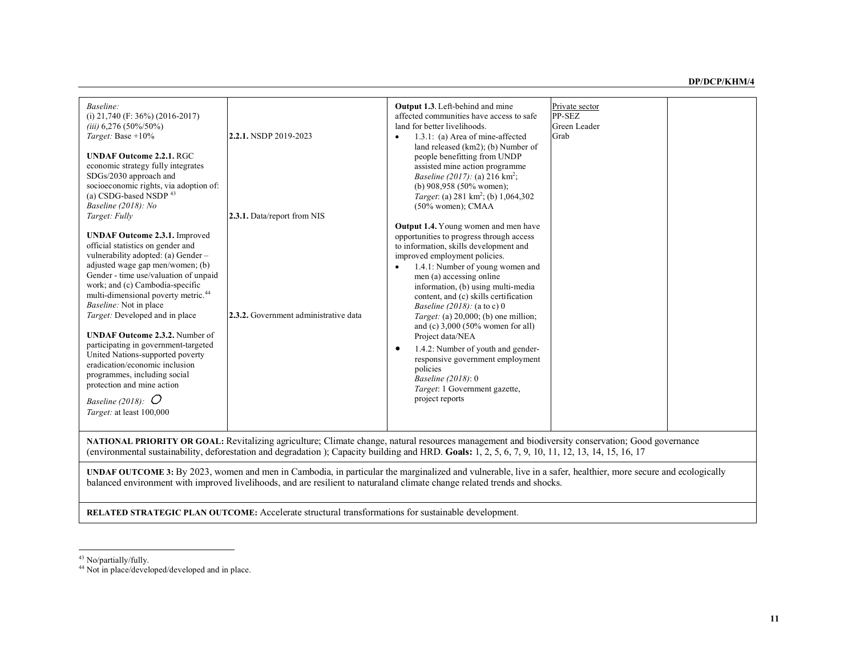| Baseline:<br>(i) $21,740$ (F: 36%) (2016-2017)<br>$(iii)$ 6,276 (50%/50%)<br>Target: Base $+10\%$<br><b>UNDAF Outcome 2.2.1. RGC</b><br>economic strategy fully integrates<br>SDGs/2030 approach and<br>socioeconomic rights, via adoption of:<br>(a) CSDG-based NSDP 43<br>Baseline (2018): No<br>Target: Fully<br><b>UNDAF Outcome 2.3.1.</b> Improved<br>official statistics on gender and<br>vulnerability adopted: (a) Gender -<br>adjusted wage gap men/women; (b)<br>Gender - time use/valuation of unpaid<br>work; and (c) Cambodia-specific<br>multi-dimensional poverty metric. <sup>44</sup><br>Baseline: Not in place<br>Target: Developed and in place<br><b>UNDAF Outcome 2.3.2.</b> Number of<br>participating in government-targeted<br>United Nations-supported poverty<br>eradication/economic inclusion<br>programmes, including social<br>protection and mine action<br>Baseline (2018): $O$<br>Target: at least 100,000 | 2.2.1. NSDP 2019-2023<br>2.3.1. Data/report from NIS<br>2.3.2. Government administrative data | <b>Output 1.3.</b> Left-behind and mine<br>affected communities have access to safe<br>land for better livelihoods.<br>1.3.1: (a) Area of mine-affected<br>$\bullet$<br>land released (km2); (b) Number of<br>people benefitting from UNDP<br>assisted mine action programme<br><i>Baseline (2017):</i> (a) 216 $km^2$ ;<br>(b) $908.958$ (50% women);<br>Target: (a) 281 km <sup>2</sup> ; (b) 1,064,302<br>$(50\%$ women); CMAA<br><b>Output 1.4.</b> Young women and men have<br>opportunities to progress through access<br>to information, skills development and<br>improved employment policies.<br>1.4.1: Number of young women and<br>$\bullet$<br>men (a) accessing online<br>information, (b) using multi-media<br>content, and (c) skills certification<br>Baseline (2018): (a to c) 0<br>Target: (a) $20,000$ ; (b) one million;<br>and (c) $3,000$ (50% women for all)<br>Project data/NEA<br>1.4.2: Number of youth and gender-<br>$\bullet$<br>responsive government employment<br>policies<br>Baseline (2018): 0<br>Target: 1 Government gazette,<br>project reports | Private sector<br>PP-SEZ<br>Green Leader<br>Grab |  |
|----------------------------------------------------------------------------------------------------------------------------------------------------------------------------------------------------------------------------------------------------------------------------------------------------------------------------------------------------------------------------------------------------------------------------------------------------------------------------------------------------------------------------------------------------------------------------------------------------------------------------------------------------------------------------------------------------------------------------------------------------------------------------------------------------------------------------------------------------------------------------------------------------------------------------------------------|-----------------------------------------------------------------------------------------------|---------------------------------------------------------------------------------------------------------------------------------------------------------------------------------------------------------------------------------------------------------------------------------------------------------------------------------------------------------------------------------------------------------------------------------------------------------------------------------------------------------------------------------------------------------------------------------------------------------------------------------------------------------------------------------------------------------------------------------------------------------------------------------------------------------------------------------------------------------------------------------------------------------------------------------------------------------------------------------------------------------------------------------------------------------------------------------------|--------------------------------------------------|--|
| NATIONAL PRIORITY OR GOAL: Revitalizing agriculture; Climate change, natural resources management and biodiversity conservation; Good governance<br>(environmental sustainability, deforestation and degradation); Capacity building and HRD. Goals: 1, 2, 5, 6, 7, 9, 10, 11, 12, 13, 14, 15, 16, 17                                                                                                                                                                                                                                                                                                                                                                                                                                                                                                                                                                                                                                        |                                                                                               |                                                                                                                                                                                                                                                                                                                                                                                                                                                                                                                                                                                                                                                                                                                                                                                                                                                                                                                                                                                                                                                                                       |                                                  |  |
| UNDAF OUTCOME 3: By 2023, women and men in Cambodia, in particular the marginalized and vulnerable, live in a safer, healthier, more secure and ecologically<br>balanced environment with improved livelihoods, and are resilient to naturaland climate change related trends and shocks.                                                                                                                                                                                                                                                                                                                                                                                                                                                                                                                                                                                                                                                    |                                                                                               |                                                                                                                                                                                                                                                                                                                                                                                                                                                                                                                                                                                                                                                                                                                                                                                                                                                                                                                                                                                                                                                                                       |                                                  |  |

**RELATED STRATEGIC PLAN OUTCOME:** Accelerate structural transformations for sustainable development.

 $43$  No/partially/fully.

<sup>44</sup> Not in place/developed/developed and in place.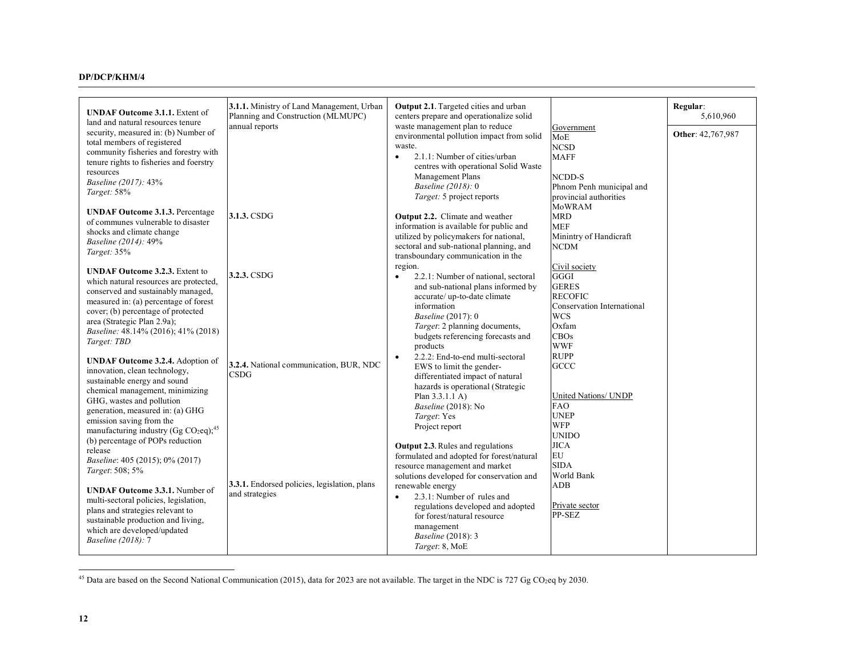| <b>UNDAF Outcome 3.1.1.</b> Extent of                         | 3.1.1. Ministry of Land Management, Urban<br>Planning and Construction (MLMUPC) | Output 2.1. Targeted cities and urban<br>centers prepare and operationalize solid |                            | Regular:<br>5,610,960 |
|---------------------------------------------------------------|---------------------------------------------------------------------------------|-----------------------------------------------------------------------------------|----------------------------|-----------------------|
| land and natural resources tenure                             |                                                                                 |                                                                                   |                            |                       |
| security, measured in: (b) Number of                          | annual reports                                                                  | waste management plan to reduce                                                   | Government                 | Other: 42,767,987     |
| total members of registered                                   |                                                                                 | environmental pollution impact from solid                                         | <b>MoE</b>                 |                       |
| community fisheries and forestry with                         |                                                                                 | waste.                                                                            | <b>NCSD</b>                |                       |
| tenure rights to fisheries and foerstry                       |                                                                                 | 2.1.1: Number of cities/urban<br>$\bullet$                                        | <b>MAFF</b>                |                       |
|                                                               |                                                                                 | centres with operational Solid Waste                                              |                            |                       |
| resources                                                     |                                                                                 | Management Plans                                                                  | NCDD-S                     |                       |
| <i>Baseline (2017):</i> 43%                                   |                                                                                 | Baseline (2018): 0                                                                | Phnom Penh municipal and   |                       |
| Target: 58%                                                   |                                                                                 | Target: 5 project reports                                                         | provincial authorities     |                       |
|                                                               |                                                                                 |                                                                                   | MoWRAM                     |                       |
| <b>UNDAF Outcome 3.1.3. Percentage</b>                        | 3.1.3. CSDG                                                                     | Output 2.2. Climate and weather                                                   | <b>MRD</b>                 |                       |
| of communes vulnerable to disaster                            |                                                                                 | information is available for public and                                           | <b>MEF</b>                 |                       |
| shocks and climate change                                     |                                                                                 | utilized by policymakers for national,                                            | Minintry of Handicraft     |                       |
| Baseline (2014): 49%                                          |                                                                                 | sectoral and sub-national planning, and                                           | <b>NCDM</b>                |                       |
| Target: 35%                                                   |                                                                                 | transboundary communication in the                                                |                            |                       |
|                                                               |                                                                                 | region.                                                                           | Civil society              |                       |
| <b>UNDAF Outcome 3.2.3.</b> Extent to                         | 3.2.3. CSDG                                                                     | 2.2.1: Number of national, sectoral                                               | <b>GGGI</b>                |                       |
| which natural resources are protected,                        |                                                                                 |                                                                                   | <b>GERES</b>               |                       |
| conserved and sustainably managed,                            |                                                                                 | and sub-national plans informed by                                                |                            |                       |
| measured in: (a) percentage of forest                         |                                                                                 | accurate/up-to-date climate                                                       | <b>RECOFIC</b>             |                       |
| cover; (b) percentage of protected                            |                                                                                 | information                                                                       | Conservation International |                       |
| area (Strategic Plan 2.9a);                                   |                                                                                 | Baseline (2017): 0                                                                | <b>WCS</b>                 |                       |
| Baseline: 48.14% (2016); 41% (2018)                           |                                                                                 | Target: 2 planning documents,                                                     | Oxfam                      |                       |
| Target: TBD                                                   |                                                                                 | budgets referencing forecasts and                                                 | CBOs                       |                       |
|                                                               |                                                                                 | products                                                                          | <b>WWF</b>                 |                       |
| <b>UNDAF Outcome 3.2.4.</b> Adoption of                       |                                                                                 | 2.2.2: End-to-end multi-sectoral                                                  | <b>RUPP</b>                |                       |
| innovation, clean technology,                                 | 3.2.4. National communication, BUR, NDC                                         | EWS to limit the gender-                                                          | <b>GCCC</b>                |                       |
| sustainable energy and sound                                  | <b>CSDG</b>                                                                     | differentiated impact of natural                                                  |                            |                       |
| chemical management, minimizing                               |                                                                                 | hazards is operational (Strategic                                                 |                            |                       |
| GHG, wastes and pollution                                     |                                                                                 | Plan 3.3.1.1 A)                                                                   | United Nations/ UNDP       |                       |
| generation, measured in: (a) GHG                              |                                                                                 | Baseline (2018): No                                                               | <b>FAO</b>                 |                       |
| emission saving from the                                      |                                                                                 | Target: Yes                                                                       | <b>UNEP</b>                |                       |
|                                                               |                                                                                 | Project report                                                                    | <b>WFP</b>                 |                       |
| manufacturing industry (Gg CO <sub>2</sub> eq); <sup>45</sup> |                                                                                 |                                                                                   | <b>UNIDO</b>               |                       |
| (b) percentage of POPs reduction                              |                                                                                 | <b>Output 2.3.</b> Rules and regulations                                          | <b>JICA</b>                |                       |
| release                                                       |                                                                                 | formulated and adopted for forest/natural                                         | EU                         |                       |
| Baseline: 405 (2015); 0% (2017)                               |                                                                                 | resource management and market                                                    | <b>SIDA</b>                |                       |
| Target: 508; 5%                                               |                                                                                 | solutions developed for conservation and                                          | World Bank                 |                       |
|                                                               | 3.3.1. Endorsed policies, legislation, plans                                    | renewable energy                                                                  | <b>ADB</b>                 |                       |
| <b>UNDAF Outcome 3.3.1.</b> Number of                         | and strategies                                                                  | 2.3.1: Number of rules and<br>$\bullet$                                           |                            |                       |
| multi-sectoral policies, legislation,                         |                                                                                 | regulations developed and adopted                                                 | Private sector             |                       |
| plans and strategies relevant to                              |                                                                                 | for forest/natural resource                                                       | PP-SEZ                     |                       |
| sustainable production and living,                            |                                                                                 | management                                                                        |                            |                       |
| which are developed/updated                                   |                                                                                 | Baseline (2018): 3                                                                |                            |                       |
| Baseline (2018): 7                                            |                                                                                 | Target: 8, MoE                                                                    |                            |                       |
|                                                               |                                                                                 |                                                                                   |                            |                       |

<sup>&</sup>lt;sup>45</sup> Data are based on the Second National Communication (2015), data for 2023 are not available. The target in the NDC is 727 Gg CO<sub>2</sub>eq by 2030.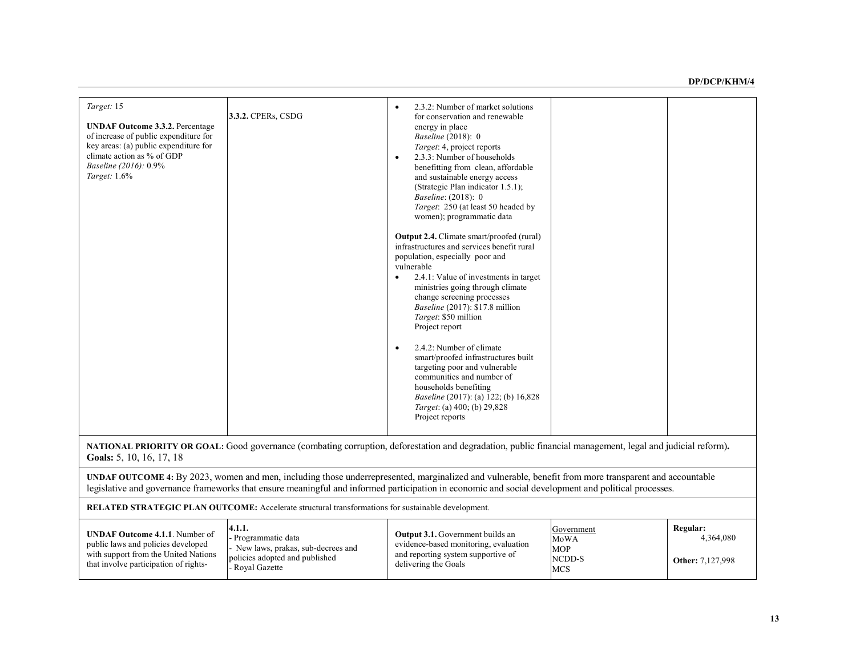| Target: 15<br><b>UNDAF Outcome 3.3.2.</b> Percentage<br>of increase of public expenditure for<br>key areas: (a) public expenditure for<br>climate action as % of GDP<br>Baseline (2016): 0.9%<br>Target: 1.6%                                                                                                | 3.3.2. CPERs, CSDG                                                                                                    | 2.3.2: Number of market solutions<br>for conservation and renewable<br>energy in place<br>Baseline (2018): 0<br>Target: 4, project reports<br>2.3.3: Number of households<br>benefitting from clean, affordable<br>and sustainable energy access<br>(Strategic Plan indicator 1.5.1);<br>Baseline: (2018): 0<br>Target: 250 (at least 50 headed by<br>women); programmatic data<br>Output 2.4. Climate smart/proofed (rural)<br>infrastructures and services benefit rural<br>population, especially poor and<br>vulnerable<br>2.4.1: Value of investments in target<br>ministries going through climate<br>change screening processes<br>Baseline (2017): \$17.8 million<br>Target: \$50 million<br>Project report<br>2.4.2: Number of climate<br>smart/proofed infrastructures built<br>targeting poor and vulnerable<br>communities and number of<br>households benefiting<br><i>Baseline</i> (2017): (a) 122; (b) 16,828<br>Target: (a) 400; (b) 29,828<br>Project reports |                                                                 |                                                  |
|--------------------------------------------------------------------------------------------------------------------------------------------------------------------------------------------------------------------------------------------------------------------------------------------------------------|-----------------------------------------------------------------------------------------------------------------------|--------------------------------------------------------------------------------------------------------------------------------------------------------------------------------------------------------------------------------------------------------------------------------------------------------------------------------------------------------------------------------------------------------------------------------------------------------------------------------------------------------------------------------------------------------------------------------------------------------------------------------------------------------------------------------------------------------------------------------------------------------------------------------------------------------------------------------------------------------------------------------------------------------------------------------------------------------------------------------|-----------------------------------------------------------------|--------------------------------------------------|
|                                                                                                                                                                                                                                                                                                              |                                                                                                                       |                                                                                                                                                                                                                                                                                                                                                                                                                                                                                                                                                                                                                                                                                                                                                                                                                                                                                                                                                                                |                                                                 |                                                  |
| NATIONAL PRIORITY OR GOAL: Good governance (combating corruption, deforestation and degradation, public financial management, legal and judicial reform).<br>Goals: 5, 10, 16, 17, 18                                                                                                                        |                                                                                                                       |                                                                                                                                                                                                                                                                                                                                                                                                                                                                                                                                                                                                                                                                                                                                                                                                                                                                                                                                                                                |                                                                 |                                                  |
| UNDAF OUTCOME 4: By 2023, women and men, including those underrepresented, marginalized and vulnerable, benefit from more transparent and accountable<br>legislative and governance frameworks that ensure meaningful and informed participation in economic and social development and political processes. |                                                                                                                       |                                                                                                                                                                                                                                                                                                                                                                                                                                                                                                                                                                                                                                                                                                                                                                                                                                                                                                                                                                                |                                                                 |                                                  |
| RELATED STRATEGIC PLAN OUTCOME: Accelerate structural transformations for sustainable development.                                                                                                                                                                                                           |                                                                                                                       |                                                                                                                                                                                                                                                                                                                                                                                                                                                                                                                                                                                                                                                                                                                                                                                                                                                                                                                                                                                |                                                                 |                                                  |
| <b>UNDAF Outcome 4.1.1.</b> Number of<br>public laws and policies developed<br>with support from the United Nations<br>that involve participation of rights-                                                                                                                                                 | 4.1.1.<br>Programmatic data<br>- New laws, prakas, sub-decrees and<br>policies adopted and published<br>Royal Gazette | Output 3.1. Government builds an<br>evidence-based monitoring, evaluation<br>and reporting system supportive of<br>delivering the Goals                                                                                                                                                                                                                                                                                                                                                                                                                                                                                                                                                                                                                                                                                                                                                                                                                                        | Government<br><b>MoWA</b><br><b>MOP</b><br>NCDD-S<br><b>MCS</b> | Regular:<br>4,364,080<br><b>Other:</b> 7,127,998 |